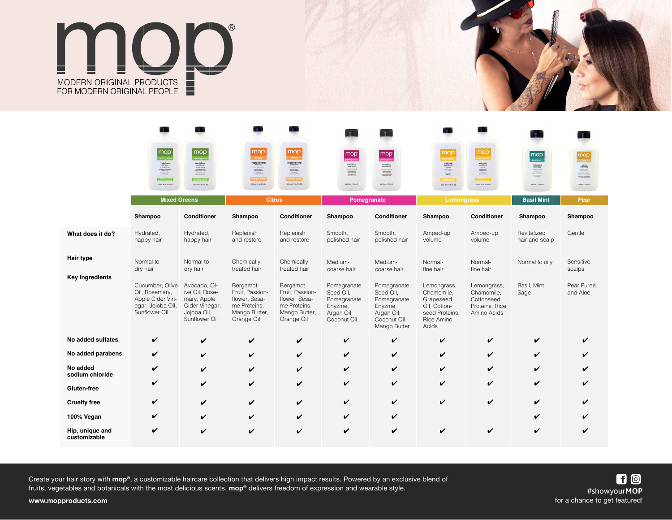



|                                 |                                                                                                                                                                          |                                                                                                                                                                                                                                                                                                                                                                                               |                                                                                                                                                      |                                                                                                                                                                                                                         |                                                                                          |                                                                                                                                                                                                                                      |                                                                                                                                                                                                                                                                                                                                                                                                                                                                                                                  | a.                                                                                                                                                                                                                                         |                                                                                                                                                                                                                                                                                                                                                                                                                                                                                |                                                                                                                                                                                                                                                                                                                                                                         |
|---------------------------------|--------------------------------------------------------------------------------------------------------------------------------------------------------------------------|-----------------------------------------------------------------------------------------------------------------------------------------------------------------------------------------------------------------------------------------------------------------------------------------------------------------------------------------------------------------------------------------------|------------------------------------------------------------------------------------------------------------------------------------------------------|-------------------------------------------------------------------------------------------------------------------------------------------------------------------------------------------------------------------------|------------------------------------------------------------------------------------------|--------------------------------------------------------------------------------------------------------------------------------------------------------------------------------------------------------------------------------------|------------------------------------------------------------------------------------------------------------------------------------------------------------------------------------------------------------------------------------------------------------------------------------------------------------------------------------------------------------------------------------------------------------------------------------------------------------------------------------------------------------------|--------------------------------------------------------------------------------------------------------------------------------------------------------------------------------------------------------------------------------------------|--------------------------------------------------------------------------------------------------------------------------------------------------------------------------------------------------------------------------------------------------------------------------------------------------------------------------------------------------------------------------------------------------------------------------------------------------------------------------------|-------------------------------------------------------------------------------------------------------------------------------------------------------------------------------------------------------------------------------------------------------------------------------------------------------------------------------------------------------------------------|
|                                 | $\fbox{mop}$<br>$\begin{array}{c} \text{moisture} \\ \text{sianpos} \\ \text{two-conv.} \\ \text{no} \end{array}$<br><b>NO PHANELES SALECES</b><br>250 ML @ / 8.45 FL OZ | $\fbox{mop}$ <sub>mixed greens</sub><br>$\begin{minipage}{0.03\textwidth} \begin{tabular}{ c c } \hline model & 0.0000 & 0.0000 & 0.0000 & 0.0000 & 0.0000 & 0.0000 & 0.0000 & 0.0000 & 0.0000 & 0.0000 & 0.0000 & 0.0000 & 0.0000 & 0.0000 & 0.0000 & 0.0000 & 0.0000 & 0.0000 & 0.0000 & 0.0000 & 0.0000 & 0.0000 & 0.0000 & 0.0$<br><b>NO FRANCISCO, SUGARIA</b><br>250 mi. e / 8.45 FL OZ | mop<br>replenishing<br>$\frac{1}{2}$<br>$\begin{array}{c} \text{number} \\ \text{number} \end{array}$<br><b>Sharpy Layers</b><br>250 ML @/ 845 FL OZ | mop<br>replenishing<br>conditions:<br>communications<br>$\begin{array}{c} \text{number of the two different points are given by the two different points.} \end{array}$<br><b>Spragudings)</b><br>250 mL @ / 8.45 FL OZ | $\boxed{\text{mop}}_{\text{pomgorans}}$<br>smoothing<br>sharrpoo<br>8.45 H Oil / 250mL @ | $\mathop{\text{map}}\limits_{\text{pomogeneous}}$<br>smoothing<br>conditioner<br>$\begin{array}{c} \begin{array}{c} \text{interactions} \\ \text{interactions} \end{array} \end{array}$<br>produced state and<br><b>ARTICLIZIONE</b> | mop<br>$\begin{minipage}{0.5\textwidth} \begin{tabular}{ c c } \hline \textbf{volume} & \textbf{m} & \textbf{m} & \textbf{m} \\ \hline \textbf{m} & \textbf{m} & \textbf{m} & \textbf{m} \\ \hline \textbf{m} & \textbf{m} & \textbf{m} & \textbf{m} \\ \hline \textbf{m} & \textbf{m} & \textbf{m} & \textbf{m} \\ \hline \textbf{m} & \textbf{m} & \textbf{m} & \textbf{m} \\ \hline \textbf{m} & \textbf{m} & \textbf{m} & \textbf{m} \\ \hline \textbf{m$<br><b>RO FAANSANS SOUA</b><br>250 mL @ / BAS FL CZ | mop<br>$\begin{array}{l} \text{volume} \\ \text{conductor} \\ \text{source} \\ \text{intra} \\ \text{intra} \\ \text{intra} \\ \text{intra} \\ \text{intra} \\ \text{intra} \\ \end{array}$<br><b>SPACE MARKET</b><br>250 ML @ / &45 FL OZ | $\boxed{\text{mop}}$<br>$\begin{tabular}{c} \multicolumn{2}{c}{\textbf{m} + \textbf{m} + \textbf{m} + \textbf{m} + \textbf{m} + \textbf{m} + \textbf{m} + \textbf{m} + \textbf{m} + \textbf{m} + \textbf{m} + \textbf{m} + \textbf{m} + \textbf{m} + \textbf{m} + \textbf{m} + \textbf{m} + \textbf{m} + \textbf{m} + \textbf{m} + \textbf{m} + \textbf{m} + \textbf{m} + \textbf{m} + \textbf{m} + \textbf{m} + \textbf{m} + \textbf{m} + \textbf{m} +$<br>250ml e/6.45 fl Or | $\mathop{\text{map}}\limits_{\text{post}}$<br>$\begin{minipage}{0.5\textwidth} \begin{tabular}{ c c } \hline \textbf{getRe} & \textbf{getRe} \\ \hline \textbf{Mapp} & \textbf{Happ} \\ \hline \textbf{Happ} & \textbf{Happ} \\ \hline \textbf{Happ} & \textbf{Happ} \\ \hline \textbf{Happ} & \textbf{Happ} \\ \hline \end{tabular} \end{minipage}$<br>250HL @/R4S ROE |
|                                 | <b>Mixed Greens</b>                                                                                                                                                      |                                                                                                                                                                                                                                                                                                                                                                                               | <b>Citrus</b>                                                                                                                                        |                                                                                                                                                                                                                         | Pomegranate                                                                              |                                                                                                                                                                                                                                      | Lemongrass                                                                                                                                                                                                                                                                                                                                                                                                                                                                                                       |                                                                                                                                                                                                                                            | <b>Basil Mint</b>                                                                                                                                                                                                                                                                                                                                                                                                                                                              | Pear                                                                                                                                                                                                                                                                                                                                                                    |
|                                 | Shampoo                                                                                                                                                                  | Conditioner                                                                                                                                                                                                                                                                                                                                                                                   | Shampoo                                                                                                                                              | <b>Conditioner</b>                                                                                                                                                                                                      | Shampoo                                                                                  | Conditioner                                                                                                                                                                                                                          | Shampoo                                                                                                                                                                                                                                                                                                                                                                                                                                                                                                          | <b>Conditioner</b>                                                                                                                                                                                                                         | Shampoo                                                                                                                                                                                                                                                                                                                                                                                                                                                                        | Shampoo                                                                                                                                                                                                                                                                                                                                                                 |
| What does it do?                | Hydrated,<br>happy hair                                                                                                                                                  | Hydrated,<br>happy hair                                                                                                                                                                                                                                                                                                                                                                       | Replenish<br>and restore                                                                                                                             | Replenish<br>and restore                                                                                                                                                                                                | Smooth,<br>polished hair                                                                 | Smooth,<br>polished hair                                                                                                                                                                                                             | Amped-up<br>volume                                                                                                                                                                                                                                                                                                                                                                                                                                                                                               | Amped-up<br>volume                                                                                                                                                                                                                         | Revitalized<br>hair and scalp                                                                                                                                                                                                                                                                                                                                                                                                                                                  | Gentle                                                                                                                                                                                                                                                                                                                                                                  |
| <b>Hair type</b>                | Normal to<br>dry hair                                                                                                                                                    | Normal to<br>dry hair                                                                                                                                                                                                                                                                                                                                                                         | Chemically-<br>treated hair                                                                                                                          | Chemically-<br>treated hair                                                                                                                                                                                             | Medium-<br>coarse hair                                                                   | Medium-<br>coarse hair                                                                                                                                                                                                               | Normal-<br>fine hair                                                                                                                                                                                                                                                                                                                                                                                                                                                                                             | Normal-<br>fine hair                                                                                                                                                                                                                       | Normal to oily                                                                                                                                                                                                                                                                                                                                                                                                                                                                 | Sensitive<br>scalps                                                                                                                                                                                                                                                                                                                                                     |
| <b>Key ingredients</b>          | Cucumber, Olive<br>Oil, Rosemary,<br>Apple Cider Vin-<br>egar, Jojoba Oil,<br>Sunflower Oil                                                                              | Avocado, OI-<br>ive Oil, Rose-<br>mary, Apple<br>Cider Vinegar,<br>Jojoba Oil,<br>Sunflower Oil                                                                                                                                                                                                                                                                                               | Bergamot<br>Fruit, Passion-<br>flower, Sesa-<br>me Proteins,<br>Mango Butter,<br>Orange Oil                                                          | Bergamot<br>Fruit, Passion-<br>flower, Sesa-<br>me Proteins,<br>Mango Butter,<br>Orange Oil                                                                                                                             | Pomegranate<br>Seed Oil,<br>Pomegranate<br>Enyzme,<br>Argan Oil,<br>Coconut Oil,         | Pomegranate<br>Seed Oil,<br>Pomegranate<br>Enyzme,<br>Argan Oil,<br>Coconut Oil,<br>Mango Butter                                                                                                                                     | Lemongrass,<br>Chamomile,<br>Grapeseed<br>Oil, Cotton-<br>seed Proteins,<br>Rice Amino<br>Acids                                                                                                                                                                                                                                                                                                                                                                                                                  | Lemongrass,<br>Chamomile,<br>Cottonseed<br>Proteins, Rice<br>Amino Acids                                                                                                                                                                   | Basil, Mint,<br>Sage                                                                                                                                                                                                                                                                                                                                                                                                                                                           | Pear Puree<br>and Aloe                                                                                                                                                                                                                                                                                                                                                  |
| No added sulfates               | V                                                                                                                                                                        | V                                                                                                                                                                                                                                                                                                                                                                                             | V                                                                                                                                                    | V                                                                                                                                                                                                                       | V                                                                                        | $\checkmark$                                                                                                                                                                                                                         | V                                                                                                                                                                                                                                                                                                                                                                                                                                                                                                                | ✓                                                                                                                                                                                                                                          | ✓                                                                                                                                                                                                                                                                                                                                                                                                                                                                              |                                                                                                                                                                                                                                                                                                                                                                         |
| No added parabens               | V                                                                                                                                                                        | V                                                                                                                                                                                                                                                                                                                                                                                             | V                                                                                                                                                    | V                                                                                                                                                                                                                       | ✓                                                                                        | $\boldsymbol{\mathcal{U}}$                                                                                                                                                                                                           | V                                                                                                                                                                                                                                                                                                                                                                                                                                                                                                                | ✓                                                                                                                                                                                                                                          | V                                                                                                                                                                                                                                                                                                                                                                                                                                                                              |                                                                                                                                                                                                                                                                                                                                                                         |
| No added<br>sodium chloride     | V                                                                                                                                                                        | V                                                                                                                                                                                                                                                                                                                                                                                             | V                                                                                                                                                    | V                                                                                                                                                                                                                       | V                                                                                        | V                                                                                                                                                                                                                                    | V                                                                                                                                                                                                                                                                                                                                                                                                                                                                                                                | ✔                                                                                                                                                                                                                                          | V                                                                                                                                                                                                                                                                                                                                                                                                                                                                              |                                                                                                                                                                                                                                                                                                                                                                         |
| Gluten-free                     | V                                                                                                                                                                        | V                                                                                                                                                                                                                                                                                                                                                                                             | V                                                                                                                                                    | V                                                                                                                                                                                                                       | ✓                                                                                        | $\checkmark$                                                                                                                                                                                                                         | V                                                                                                                                                                                                                                                                                                                                                                                                                                                                                                                | ✔                                                                                                                                                                                                                                          | V                                                                                                                                                                                                                                                                                                                                                                                                                                                                              |                                                                                                                                                                                                                                                                                                                                                                         |
| <b>Cruelty free</b>             | V                                                                                                                                                                        | ✓                                                                                                                                                                                                                                                                                                                                                                                             | ✓                                                                                                                                                    | V                                                                                                                                                                                                                       | ✓                                                                                        | $\checkmark$                                                                                                                                                                                                                         | V                                                                                                                                                                                                                                                                                                                                                                                                                                                                                                                | ✔                                                                                                                                                                                                                                          | V                                                                                                                                                                                                                                                                                                                                                                                                                                                                              |                                                                                                                                                                                                                                                                                                                                                                         |
| 100% Vegan                      | V                                                                                                                                                                        | V                                                                                                                                                                                                                                                                                                                                                                                             | V                                                                                                                                                    | V                                                                                                                                                                                                                       | V                                                                                        | V                                                                                                                                                                                                                                    |                                                                                                                                                                                                                                                                                                                                                                                                                                                                                                                  |                                                                                                                                                                                                                                            | V                                                                                                                                                                                                                                                                                                                                                                                                                                                                              |                                                                                                                                                                                                                                                                                                                                                                         |
| Hip, unique and<br>customizable | V                                                                                                                                                                        | V                                                                                                                                                                                                                                                                                                                                                                                             | ✔                                                                                                                                                    | V                                                                                                                                                                                                                       | V                                                                                        | V                                                                                                                                                                                                                                    |                                                                                                                                                                                                                                                                                                                                                                                                                                                                                                                  |                                                                                                                                                                                                                                            | V                                                                                                                                                                                                                                                                                                                                                                                                                                                                              |                                                                                                                                                                                                                                                                                                                                                                         |

Create your hair story with **mop®**, a customizable haircare collection that delivers high impact results. Powered by an exclusive blend of fruits, vegetables and botanicals with the most delicious scents, **mop®** delivers freedom of expression and wearable style.